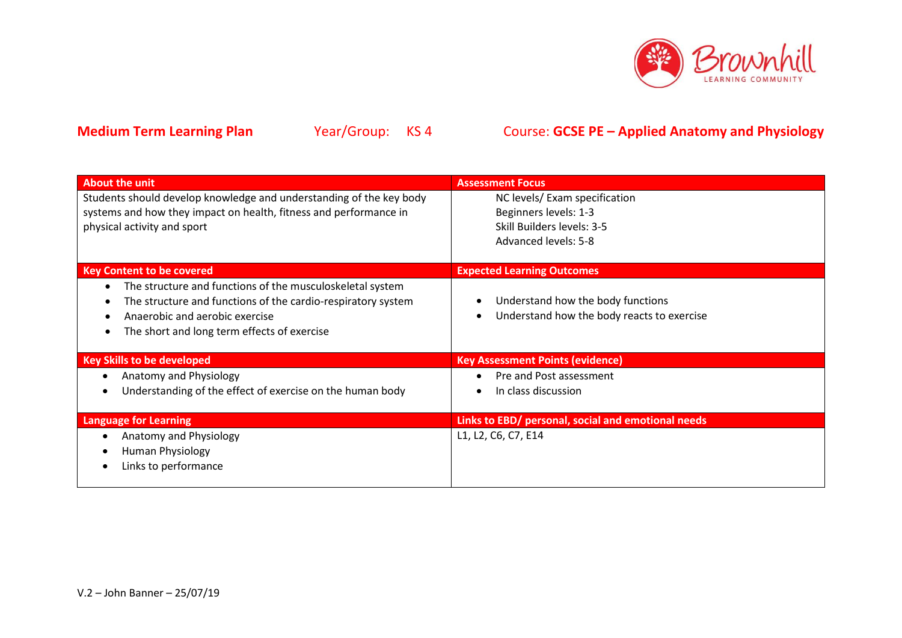

| About the unit                                                                                                                                                                                             | <b>Assessment Focus</b>                                                         |
|------------------------------------------------------------------------------------------------------------------------------------------------------------------------------------------------------------|---------------------------------------------------------------------------------|
| Students should develop knowledge and understanding of the key body<br>systems and how they impact on health, fitness and performance in                                                                   | NC levels/Exam specification<br>Beginners levels: 1-3                           |
| physical activity and sport                                                                                                                                                                                | Skill Builders levels: 3-5                                                      |
|                                                                                                                                                                                                            | Advanced levels: 5-8                                                            |
| <b>Key Content to be covered</b>                                                                                                                                                                           | <b>Expected Learning Outcomes</b>                                               |
| The structure and functions of the musculoskeletal system<br>The structure and functions of the cardio-respiratory system<br>Anaerobic and aerobic exercise<br>The short and long term effects of exercise | Understand how the body functions<br>Understand how the body reacts to exercise |
| <b>Key Skills to be developed</b>                                                                                                                                                                          | <b>Key Assessment Points (evidence)</b>                                         |
| Anatomy and Physiology<br>$\bullet$                                                                                                                                                                        | Pre and Post assessment                                                         |
| Understanding of the effect of exercise on the human body                                                                                                                                                  | In class discussion                                                             |
| <b>Language for Learning</b>                                                                                                                                                                               | Links to EBD/ personal, social and emotional needs                              |
| Anatomy and Physiology                                                                                                                                                                                     | L1, L2, C6, C7, E14                                                             |
| Human Physiology                                                                                                                                                                                           |                                                                                 |
| Links to performance                                                                                                                                                                                       |                                                                                 |
|                                                                                                                                                                                                            |                                                                                 |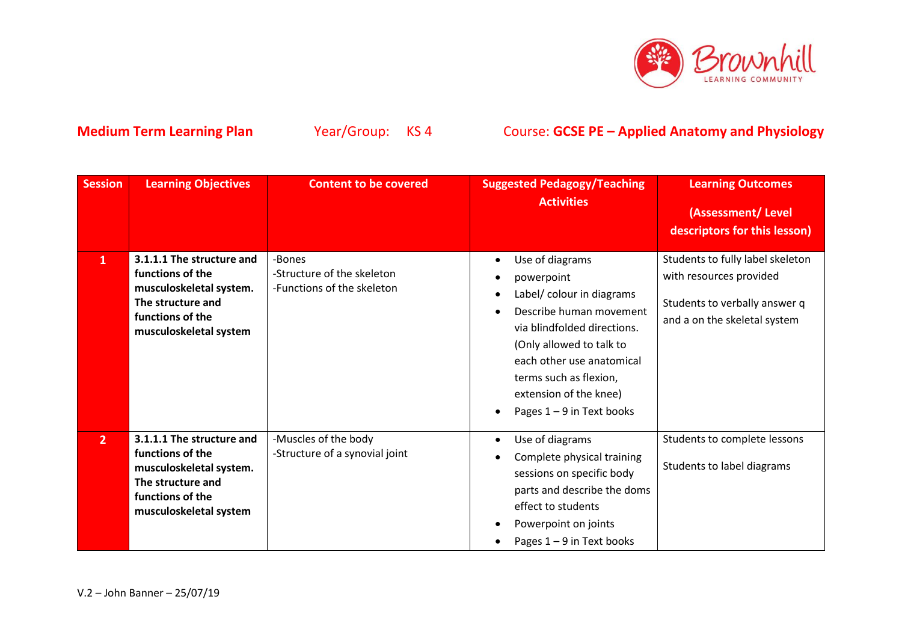

| <b>Session</b> | <b>Learning Objectives</b>                                                                                                                  | <b>Content to be covered</b>                                       | <b>Suggested Pedagogy/Teaching</b><br><b>Activities</b>                                                                                                                                                                                                          | <b>Learning Outcomes</b><br>(Assessment/Level<br>descriptors for this lesson)                                                |
|----------------|---------------------------------------------------------------------------------------------------------------------------------------------|--------------------------------------------------------------------|------------------------------------------------------------------------------------------------------------------------------------------------------------------------------------------------------------------------------------------------------------------|------------------------------------------------------------------------------------------------------------------------------|
| $\mathbf{1}$   | 3.1.1.1 The structure and<br>functions of the<br>musculoskeletal system.<br>The structure and<br>functions of the<br>musculoskeletal system | -Bones<br>-Structure of the skeleton<br>-Functions of the skeleton | Use of diagrams<br>powerpoint<br>Label/ colour in diagrams<br>Describe human movement<br>via blindfolded directions.<br>(Only allowed to talk to<br>each other use anatomical<br>terms such as flexion,<br>extension of the knee)<br>Pages $1 - 9$ in Text books | Students to fully label skeleton<br>with resources provided<br>Students to verbally answer q<br>and a on the skeletal system |
| 2 <sup>2</sup> | 3.1.1.1 The structure and<br>functions of the<br>musculoskeletal system.<br>The structure and<br>functions of the<br>musculoskeletal system | -Muscles of the body<br>-Structure of a synovial joint             | Use of diagrams<br>$\bullet$<br>Complete physical training<br>sessions on specific body<br>parts and describe the doms<br>effect to students<br>Powerpoint on joints<br>Pages $1 - 9$ in Text books                                                              | Students to complete lessons<br>Students to label diagrams                                                                   |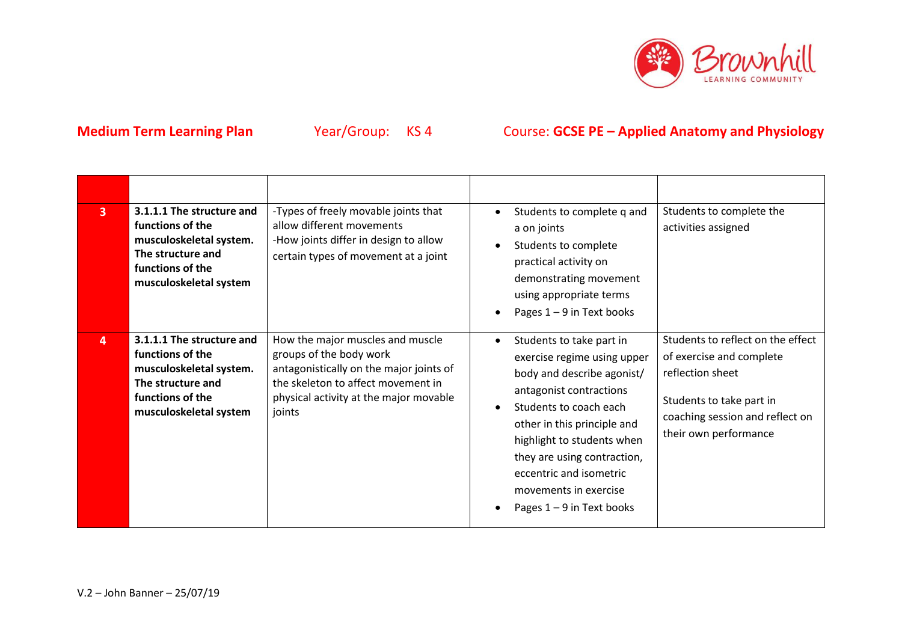

| $\overline{3}$ | 3.1.1.1 The structure and<br>functions of the<br>musculoskeletal system.<br>The structure and<br>functions of the<br>musculoskeletal system | -Types of freely movable joints that<br>allow different movements<br>-How joints differ in design to allow<br>certain types of movement at a joint                                               | Students to complete q and<br>a on joints<br>Students to complete<br>practical activity on<br>demonstrating movement<br>using appropriate terms<br>Pages $1 - 9$ in Text books                                                                                                                                            | Students to complete the<br>activities assigned                                                                                                                           |
|----------------|---------------------------------------------------------------------------------------------------------------------------------------------|--------------------------------------------------------------------------------------------------------------------------------------------------------------------------------------------------|---------------------------------------------------------------------------------------------------------------------------------------------------------------------------------------------------------------------------------------------------------------------------------------------------------------------------|---------------------------------------------------------------------------------------------------------------------------------------------------------------------------|
| 4              | 3.1.1.1 The structure and<br>functions of the<br>musculoskeletal system.<br>The structure and<br>functions of the<br>musculoskeletal system | How the major muscles and muscle<br>groups of the body work<br>antagonistically on the major joints of<br>the skeleton to affect movement in<br>physical activity at the major movable<br>joints | Students to take part in<br>exercise regime using upper<br>body and describe agonist/<br>antagonist contractions<br>Students to coach each<br>other in this principle and<br>highlight to students when<br>they are using contraction,<br>eccentric and isometric<br>movements in exercise<br>Pages $1 - 9$ in Text books | Students to reflect on the effect<br>of exercise and complete<br>reflection sheet<br>Students to take part in<br>coaching session and reflect on<br>their own performance |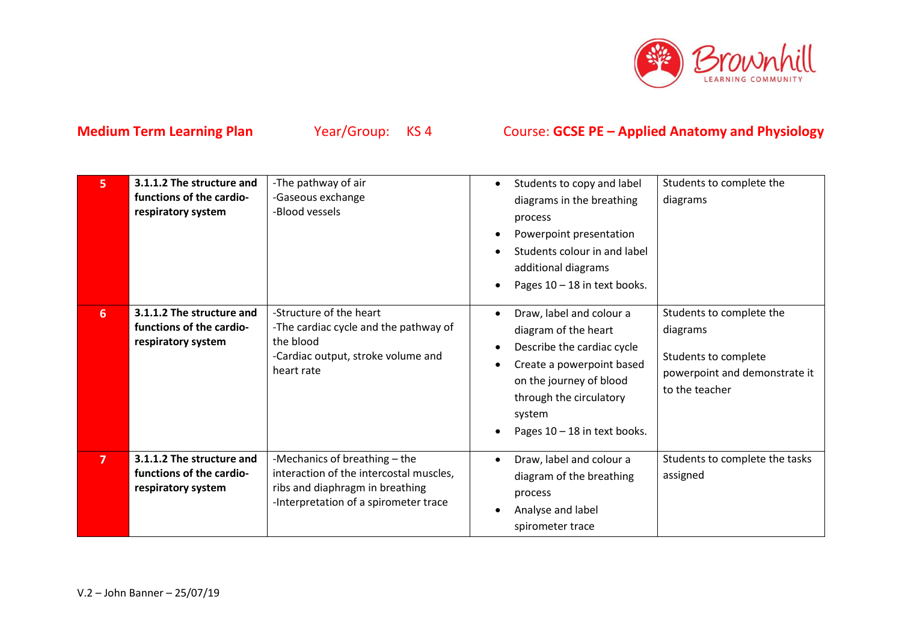

| 5              | 3.1.1.2 The structure and<br>functions of the cardio-<br>respiratory system | -The pathway of air<br>-Gaseous exchange<br>-Blood vessels                                                                                           | Students to copy and label<br>diagrams in the breathing<br>process<br>Powerpoint presentation<br>Students colour in and label<br>additional diagrams<br>Pages 10 - 18 in text books.                        | Students to complete the<br>diagrams                                                                            |
|----------------|-----------------------------------------------------------------------------|------------------------------------------------------------------------------------------------------------------------------------------------------|-------------------------------------------------------------------------------------------------------------------------------------------------------------------------------------------------------------|-----------------------------------------------------------------------------------------------------------------|
| 6 <sup>1</sup> | 3.1.1.2 The structure and<br>functions of the cardio-<br>respiratory system | -Structure of the heart<br>-The cardiac cycle and the pathway of<br>the blood<br>-Cardiac output, stroke volume and<br>heart rate                    | Draw, label and colour a<br>diagram of the heart<br>Describe the cardiac cycle<br>Create a powerpoint based<br>on the journey of blood<br>through the circulatory<br>system<br>Pages 10 - 18 in text books. | Students to complete the<br>diagrams<br>Students to complete<br>powerpoint and demonstrate it<br>to the teacher |
| $\overline{7}$ | 3.1.1.2 The structure and<br>functions of the cardio-<br>respiratory system | -Mechanics of breathing - the<br>interaction of the intercostal muscles,<br>ribs and diaphragm in breathing<br>-Interpretation of a spirometer trace | Draw, label and colour a<br>diagram of the breathing<br>process<br>Analyse and label<br>spirometer trace                                                                                                    | Students to complete the tasks<br>assigned                                                                      |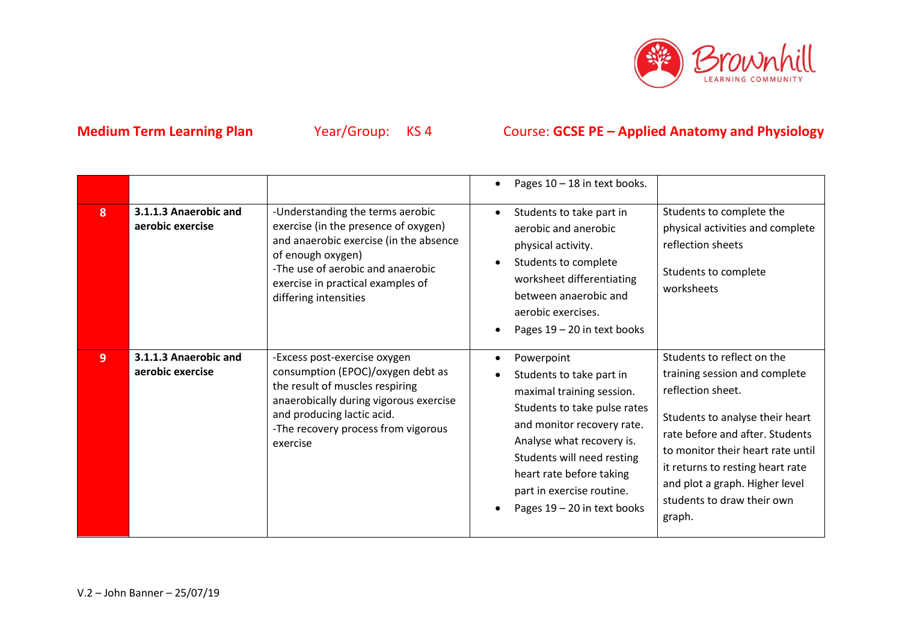

|   |                                           |                                                                                                                                                                                                                                            | Pages 10 - 18 in text books.                                                                                                                                                                                                                                                                                                                                                                                                                                                                                                                                                                      |
|---|-------------------------------------------|--------------------------------------------------------------------------------------------------------------------------------------------------------------------------------------------------------------------------------------------|---------------------------------------------------------------------------------------------------------------------------------------------------------------------------------------------------------------------------------------------------------------------------------------------------------------------------------------------------------------------------------------------------------------------------------------------------------------------------------------------------------------------------------------------------------------------------------------------------|
| 8 | 3.1.1.3 Anaerobic and<br>aerobic exercise | -Understanding the terms aerobic<br>exercise (in the presence of oxygen)<br>and anaerobic exercise (in the absence<br>of enough oxygen)<br>-The use of aerobic and anaerobic<br>exercise in practical examples of<br>differing intensities | Students to complete the<br>Students to take part in<br>aerobic and anerobic<br>physical activities and complete<br>reflection sheets<br>physical activity.<br>Students to complete<br>Students to complete<br>worksheet differentiating<br>worksheets<br>between anaerobic and<br>aerobic exercises.<br>Pages 19 - 20 in text books                                                                                                                                                                                                                                                              |
| 9 | 3.1.1.3 Anaerobic and<br>aerobic exercise | -Excess post-exercise oxygen<br>consumption (EPOC)/oxygen debt as<br>the result of muscles respiring<br>anaerobically during vigorous exercise<br>and producing lactic acid.<br>-The recovery process from vigorous<br>exercise            | Students to reflect on the<br>Powerpoint<br>training session and complete<br>Students to take part in<br>reflection sheet.<br>maximal training session.<br>Students to take pulse rates<br>Students to analyse their heart<br>and monitor recovery rate.<br>rate before and after. Students<br>Analyse what recovery is.<br>to monitor their heart rate until<br>Students will need resting<br>it returns to resting heart rate<br>heart rate before taking<br>and plot a graph. Higher level<br>part in exercise routine.<br>students to draw their own<br>Pages 19 - 20 in text books<br>graph. |